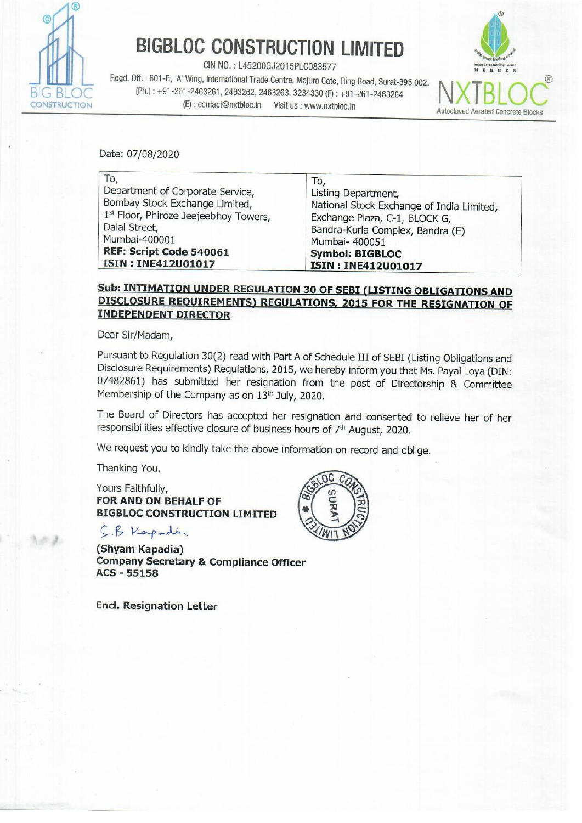

# BIGBLOC CONSTRUCTION LIMITED

**BIGBLOC CONSTRUCT**<br>
CIN NO. : L45200GJ2015PLC<br>
Regd. Off. : 601-B, 'A' Wing, International Trade Centre, Maj<br>
(Ph.) : +91-261-2463261, 2463262, 2463263, 3234<br>
(E) : contact@nxtbloc.in Visit us : w<br>
Date: 07/08/2020 Regd. Off.: 601-B, 'A' Wing, International Trade Centre, Majura Gate, Ring Road, Surat-395 002.<br>BIG BLOC (Ph.): +91-261-2463261, 2463262, 2463263, 3234330 (F): +91-261-2463264<br>CONSTRUCTION (E): contact@nxtbloc.in Visit us



| <b>BIGBLOC CONSTRUCTION LIMITED</b><br>CIN NO.: L45200GJ2015PLC083577<br>Regd. Off.: 601-B, 'A' Wing, International Trade Centre, Majura Gate, Ring Road, Surat-395 002.                                     | Indian Grean Building Council<br>EMBER                                                                                                                                                   |
|--------------------------------------------------------------------------------------------------------------------------------------------------------------------------------------------------------------|------------------------------------------------------------------------------------------------------------------------------------------------------------------------------------------|
| (Ph.): +91-261-2463261, 2463262, 2463263, 3234330 (F): +91-261-2463264<br>(E): contact@nxtbloc.in    Visit us : www.nxtbloc.in                                                                               | <b>Autoclaved Aerated Concret</b>                                                                                                                                                        |
| Date: 07/08/2020                                                                                                                                                                                             |                                                                                                                                                                                          |
| To,<br>Department of Corporate Service,<br>Bombay Stock Exchange Limited,<br>1st Floor, Phiroze Jeejeebhoy Towers,<br>Dalal Street,<br>Mumbai-400001<br>REF: Script Code 540061<br><b>ISIN: INE412U01017</b> | To,<br>Listing Department,<br>National Stock Exchange of India Limited,<br>Exchange Plaza, C-1, BLOCK G,<br>Bandra-Kurla Complex, Bandra (E)<br>Mumbai- 400051<br><b>Symbol: BIGBLOC</b> |

### Sub: INTIMATION UNDER REGULATION 30 OF SEBI (LISTING OBLIGATIONS AND DISCLOSURE REQUIREMENTS) REGULATIONS, 2015 FOR THE RESIGNATION OF **INDEPENDENT DIRECTOR**

Dear Sir/Madam,

Pursuant to Regulation 30(2) read with Part A of Schedule III of SEBI (Listing Obligations and Disclosure Requirements) Regulations, 2015, we hereby inform you that Ms. Payal Loya (DIN: 07482861) has submitted her resigna

The Board of Directors has accepted her resignation and consented to relieve her of her responsibilities effective closure of business hours of 7<sup>th</sup> August, 2020.

We request you to kindly take the above information on record and oblige.

Thanking You,

Yours Faithfully, FOR AND ON BEHALF OF BIGBLOC CONSTRUCTION LIMITED

CB. Rap dun

(Shyam Kapadia) Company Secretary & Compliance Officer ACS - 55158

Encl. Resignation Letter